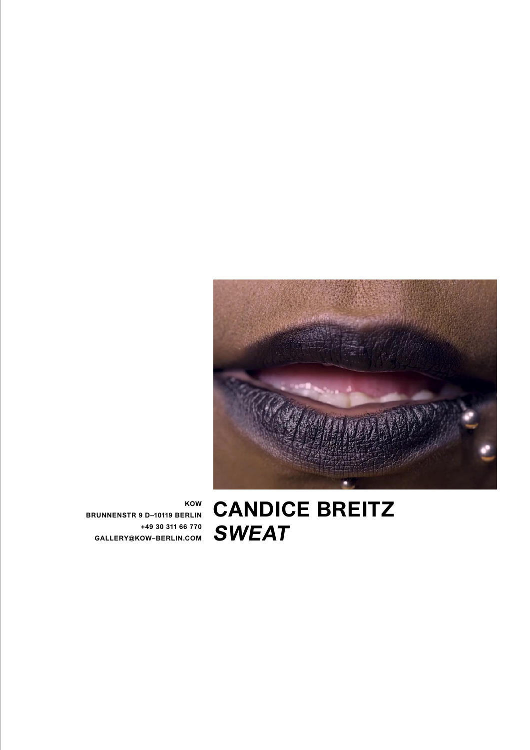

**Candice Breitz SWEAT**

**KOW BRUNNENSTR 9 D–10119 BERLIN +49 30 311 66 770 GALLERY@KOW–BERLIN.COM**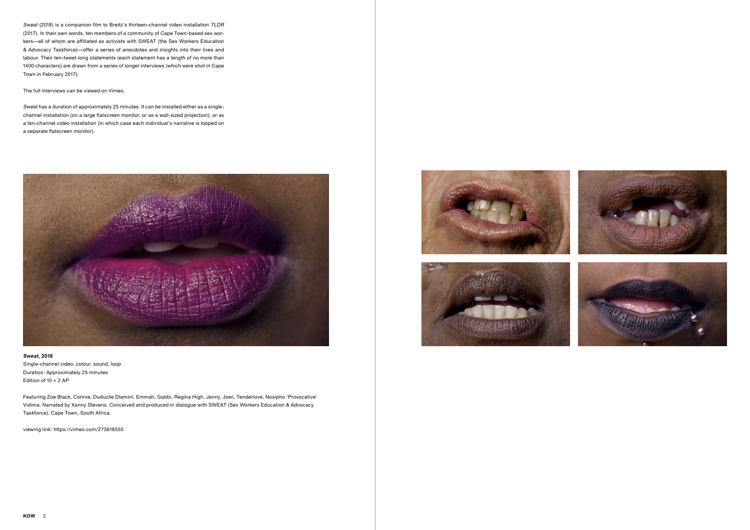

Sweat (2018) is a companion film to Breitz's thirteen-channel video installation TLDR (2017). In their own words, ten members of a community of Cape Town-based sex workers—all of whom are affiliated as activists with SWEAT (the Sex Workers Education & Advocacy Taskforce)—offer a series of anecdotes and insights into their lives and labour. Their ten-tweet-long statements (each statement has a length of no more than 1400 characters) are drawn from a series of longer interviews (which were shot in Cape Town in February 2017).

The full interviews can be viewed on Vimeo.

Sweat has a duration of approximately 25 minutes. It can be installed either as a singlechannel installation (on a large flatscreen monitor, or as a wall-sized projection), or as a ten-channel video installation (in which case each individual's narrative is looped on a separate flatscreen monitor).



## **Sweat, 2018**

Single-channel video, colour, sound, loop Duration: Approximately 25 minutes Edition of 10 + 2 AP

Featuring Zoe Black, Connie, Duduzile Dlamini, Emmah, Gabbi, Regina High, Jenny, Jowi, Tenderlove, Nosipho 'Provocative' Vidima. Narrated by Xanny Stevens. Conceived and produced in dialogue with SWEAT (Sex Workers Education & Advocacy Taskforce), Cape Town, South Africa.

viewing link: https://vimeo.com/273618555